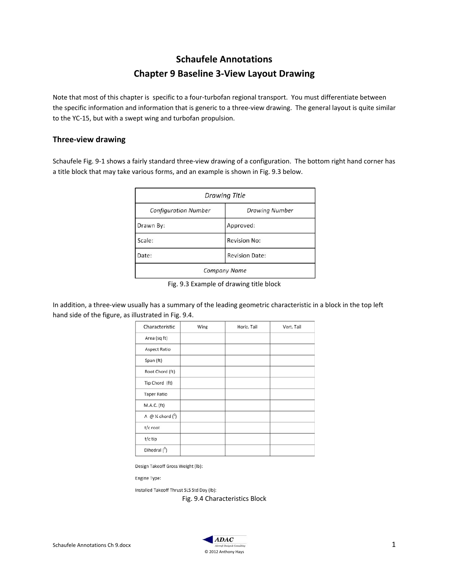# **Schaufele Annotations Chapter 9 Baseline 3-View Layout Drawing**

Note that most of this chapter is specific to a four-turbofan regional transport. You must differentiate between the specific information and information that is generic to a three-view drawing. The general layout is quite similar to the YC-15, but with a swept wing and turbofan propulsion.

### **Three-view drawing**

Schaufele Fig. 9-1 shows a fairly standard three-view drawing of a configuration. The bottom right hand corner has a title block that may take various forms, and an example is shown in Fig. 9.3 below.

| <b>Drawing Title</b>        |                       |  |  |
|-----------------------------|-----------------------|--|--|
| <b>Configuration Number</b> | <b>Drawing Number</b> |  |  |
| Drawn By:                   | Approved:             |  |  |
| Scale:                      | <b>Revision No:</b>   |  |  |
| Date:                       | <b>Revision Date:</b> |  |  |
| <b>Company Name</b>         |                       |  |  |

Fig. 9.3 Example of drawing title block

In addition, a three-view usually has a summary of the leading geometric characteristic in a block in the top left hand side of the figure, as illustrated in Fig. 9.4.

| Characteristic                                     | Wing | Horiz, Tail | Vert. Tail |
|----------------------------------------------------|------|-------------|------------|
| Area (sq ft)                                       |      |             |            |
| Aspect Ratio                                       |      |             |            |
| Span (ft)                                          |      |             |            |
| Root Chord (ft)                                    |      |             |            |
| Tip Chord (ft)                                     |      |             |            |
| <b>Taper Ratio</b>                                 |      |             |            |
| M.A.C. (ft)                                        |      |             |            |
| $\Lambda \otimes \mathcal{C}$ chord $\binom{0}{0}$ |      |             |            |
| t/c root                                           |      |             |            |
| t/c tip                                            |      |             |            |
| Dihedral $(^0)$                                    |      |             |            |

Design Takeoff Gross Weight (lb):

Engine Type:

Installed Takeoff Thrust SLS Std Day (lb):

Fig. 9.4 Characteristics Block

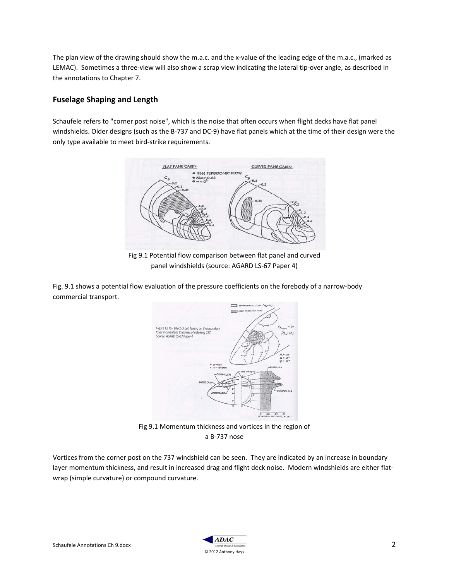The plan view of the drawing should show the m.a.c. and the x-value of the leading edge of the m.a.c., (marked as LEMAC). Sometimes a three-view will also show a scrap view indicating the lateral tip-over angle, as described in the annotations to Chapter 7.

## **Fuselage Shaping and Length**

Schaufele refers to "corner post noise", which is the noise that often occurs when flight decks have flat panel windshields. Older designs (such as the B-737 and DC-9) have flat panels which at the time of their design were the only type available to meet bird-strike requirements.



Fig 9.1 Potential flow comparison between flat panel and curved panel windshields (source: AGARD LS-67 Paper 4)

Fig. 9.1 shows a potential flow evaluation of the pressure coefficients on the forebody of a narrow-body commercial transport.



Fig 9.1 Momentum thickness and vortices in the region of a B-737 nose

Vortices from the corner post on the 737 windshield can be seen. They are indicated by an increase in boundary layer momentum thickness, and result in increased drag and flight deck noise. Modern windshields are either flatwrap (simple curvature) or compound curvature.